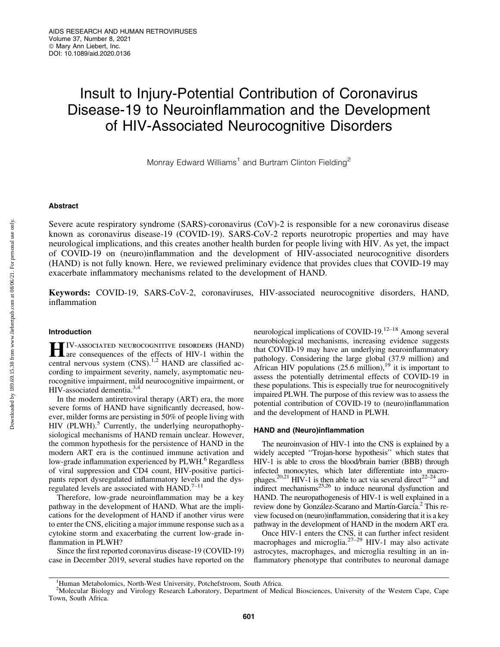# Insult to Injury-Potential Contribution of Coronavirus Disease-19 to Neuroinflammation and the Development of HIV-Associated Neurocognitive Disorders

Monray Edward Williams<sup>1</sup> and Burtram Clinton Fielding<sup>2</sup>

## Abstract

Severe acute respiratory syndrome (SARS)-coronavirus (CoV)-2 is responsible for a new coronavirus disease known as coronavirus disease-19 (COVID-19). SARS-CoV-2 reports neurotropic properties and may have neurological implications, and this creates another health burden for people living with HIV. As yet, the impact of COVID-19 on (neuro)inflammation and the development of HIV-associated neurocognitive disorders (HAND) is not fully known. Here, we reviewed preliminary evidence that provides clues that COVID-19 may exacerbate inflammatory mechanisms related to the development of HAND.

Keywords: COVID-19, SARS-CoV-2, coronaviruses, HIV-associated neurocognitive disorders, HAND, inflammation

# Introduction

**HIV-ASSOCIATED NEUROCOGNITIVE DISORDERS (HAND)**<br>are consequences of the effects of HIV-1 within the central nervous system (CNS).<sup>1,2</sup> HAND are classified according to impairment severity, namely, asymptomatic neurocognitive impairment, mild neurocognitive impairment, or HIV-associated dementia.<sup>3,4</sup>

In the modern antiretroviral therapy (ART) era, the more severe forms of HAND have significantly decreased, however, milder forms are persisting in 50% of people living with  $HIV$  (PLWH).<sup>5</sup> Currently, the underlying neuropathophysiological mechanisms of HAND remain unclear. However, the common hypothesis for the persistence of HAND in the modern ART era is the continued immune activation and low-grade inflammation experienced by PLWH.<sup>6</sup> Regardless of viral suppression and CD4 count, HIV-positive participants report dysregulated inflammatory levels and the dysregulated levels are associated with  $HAND.<sup>7-11</sup>$ 

Therefore, low-grade neuroinflammation may be a key pathway in the development of HAND. What are the implications for the development of HAND if another virus were to enter the CNS, eliciting a major immune response such as a cytokine storm and exacerbating the current low-grade inflammation in PLWH?

Since the first reported coronavirus disease-19 (COVID-19) case in December 2019, several studies have reported on the neurological implications of COVID-19.<sup>12–18</sup> Among several neurobiological mechanisms, increasing evidence suggests that COVID-19 may have an underlying neuroinflammatory pathology. Considering the large global (37.9 million) and African HIV populations  $(25.6 \text{ million})^{19}$  it is important to assess the potentially detrimental effects of COVID-19 in these populations. This is especially true for neurocognitively impaired PLWH. The purpose of this review was to assess the potential contribution of COVID-19 to (neuro)inflammation and the development of HAND in PLWH.

# HAND and (Neuro)inflammation

The neuroinvasion of HIV-1 into the CNS is explained by a widely accepted ''Trojan-horse hypothesis'' which states that HIV-1 is able to cross the blood/brain barrier (BBB) through infected monocytes, which later differentiate into macrophages.<sup>20,21</sup> HIV-1 is then able to act via several direct<sup>22–24</sup> and indirect mechanisms<sup>25,26</sup> to induce neuronal dysfunction and HAND. The neuropathogenesis of HIV-1 is well explained in a review done by González-Scarano and Martín-García.<sup>2</sup> This review focused on (neuro)inflammation, considering that it is a key pathway in the development of HAND in the modern ART era.

Once HIV-1 enters the CNS, it can further infect resident macrophages and microglia. $27-29$  HIV-1 may also activate astrocytes, macrophages, and microglia resulting in an inflammatory phenotype that contributes to neuronal damage

<sup>&</sup>lt;sup>1</sup>Human Metabolomics, North-West University, Potchefstroom, South Africa.

<sup>&</sup>lt;sup>2</sup>Molecular Biology and Virology Research Laboratory, Department of Medical Biosciences, University of the Western Cape, Cape Town, South Africa.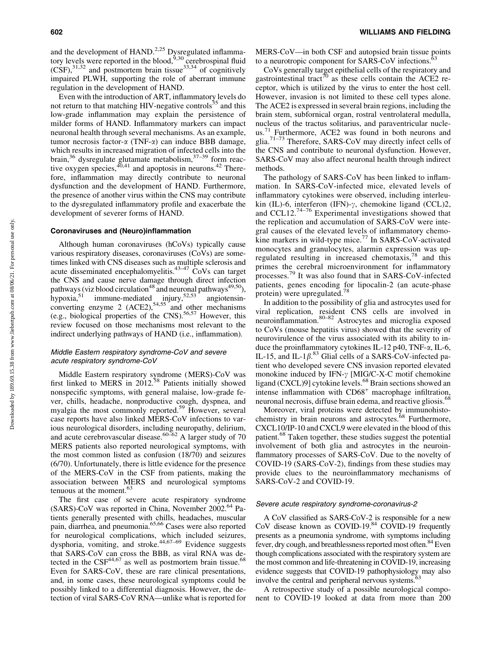and the development of HAND.<sup>2,25</sup> Dysregulated inflammatory levels were reported in the blood,  $5,30$  cerebrospinal fluid  $(CSF)$ ,  $31,32$  and postmortem brain tissue  $33,34$  of cognitively impaired PLWH, supporting the role of aberrant immune regulation in the development of HAND.

Even with the introduction of ART, inflammatory levels do not return to that matching HIV-negative controls<sup>35</sup> and this low-grade inflammation may explain the persistence of milder forms of HAND. Inflammatory markers can impact neuronal health through several mechanisms. As an example, tumor necrosis factor- $\alpha$  (TNF- $\alpha$ ) can induce BBB damage, which results in increased migration of infected cells into the brain,<sup>36</sup> dysregulate glutamate metabolism,<sup>37-39</sup> form reactive oxygen species,  $40,41$  and apoptosis in neurons.  $42$  Therefore, inflammation may directly contribute to neuronal dysfunction and the development of HAND. Furthermore, the presence of another virus within the CNS may contribute to the dysregulated inflammatory profile and exacerbate the development of severer forms of HAND.

## Coronaviruses and (Neuro)inflammation

Although human coronaviruses (hCoVs) typically cause various respiratory diseases, coronaviruses (CoVs) are sometimes linked with CNS diseases such as multiple sclerosis and acute disseminated encephalomyelitis. $43-47$  CoVs can target the CNS and cause nerve damage through direct infection pathways (viz blood circulation<sup>48</sup> and neuronal pathways<sup>49,50</sup>), hypoxia,<sup>51</sup> immune-mediated injury,<sup>52,53</sup> angiotensinconverting enzyme 2  $(ACE2)$ ,<sup>54,55</sup> and other mechanisms (e.g., biological properties of the CNS).56,57 However, this review focused on those mechanisms most relevant to the indirect underlying pathways of HAND (i.e., inflammation).

# Middle Eastern respiratory syndrome-CoV and severe acute respiratory syndrome-CoV

Middle Eastern respiratory syndrome (MERS)-CoV was first linked to MERS in 2012.<sup>58</sup> Patients initially showed nonspecific symptoms, with general malaise, low-grade fever, chills, headache, nonproductive cough, dyspnea, and myalgia the most commonly reported.<sup>59</sup> However, several case reports have also linked MERS-CoV infections to various neurological disorders, including neuropathy, delirium, and acute cerebrovascular disease.<sup>60–62</sup> A larger study of 70 MERS patients also reported neurological symptoms, with the most common listed as confusion (18/70) and seizures (6/70). Unfortunately, there is little evidence for the presence of the MERS-CoV in the CSF from patients, making the association between MERS and neurological symptoms tenuous at the moment.<sup>63</sup>

The first case of severe acute respiratory syndrome  $(SARS)$ -CoV was reported in China, November 2002.<sup>64</sup> Patients generally presented with chills, headaches, muscular pain, diarrhea, and pneumonia.<sup>65,66</sup> Cases were also reported for neurological complications, which included seizures, dysphoria, vomiting, and stroke.<sup>44,67-69</sup> Evidence suggests that SARS-CoV can cross the BBB, as viral RNA was detected in the  $CSF^{44,67}$  as well as postmortem brain tissue.<sup>68</sup> Even for SARS-CoV, these are rare clinical presentations, and, in some cases, these neurological symptoms could be possibly linked to a differential diagnosis. However, the detection of viral SARS-CoV RNA—unlike what is reported for MERS-CoV—in both CSF and autopsied brain tissue points to a neurotropic component for SARS-CoV infections.

CoVs generally target epithelial cells of the respiratory and gastrointestinal tract<sup>70</sup> as these cells contain the ACE2 receptor, which is utilized by the virus to enter the host cell. However, invasion is not limited to these cell types alone. The ACE2 is expressed in several brain regions, including the brain stem, subfornical organ, rostral ventrolateral medulla, nucleus of the tractus solitarius, and paraventricular nucleus.<sup>71</sup> Furthermore, ACE2 was found in both neurons and glia.71–73 Therefore, SARS-CoV may directly infect cells of the CNS and contribute to neuronal dysfunction. However, SARS-CoV may also affect neuronal health through indirect methods.

The pathology of SARS-CoV has been linked to inflammation. In SARS-CoV-infected mice, elevated levels of inflammatory cytokines were observed, including interleukin (IL)-6, interferon (IFN)- $\gamma$ , chemokine ligand (CCL)2, and  $CCL12$ .<sup>74–76</sup> Experimental investigations showed that the replication and accumulation of SARS-CoV were integral causes of the elevated levels of inflammatory chemokine markers in wild-type mice.<sup>77</sup> In SARS-CoV-activated monocytes and granulocytes, alarmin expression was upregulated resulting in increased chemotaxis,<sup>78</sup> and this primes the cerebral microenvironment for inflammatory processes.<sup>79</sup> It was also found that in SARS-CoV-infected patients, genes encoding for lipocalin-2 (an acute-phase protein) were upregulated.<sup>78</sup>

In addition to the possibility of glia and astrocytes used for viral replication, resident CNS cells are involved in neuroinflammation.80–82 Astrocytes and microglia exposed to CoVs (mouse hepatitis virus) showed that the severity of neurovirulence of the virus associated with its ability to induce the proinflammatory cytokines IL-12 p40, TNF- $\alpha$ , IL-6, IL-15, and IL-1 $\beta$ .<sup>83</sup> Glial cells of a SARS-CoV-infected patient who developed severe CNS invasion reported elevated monokine induced by IFN- $\gamma$  [MIG/C-X-C motif chemokine ligand (CXCL)9] cytokine levels.<sup>68</sup> Brain sections showed an intense inflammation with CD68<sup>+</sup> macrophage infiltration, neuronal necrosis, diffuse brain edema, and reactive gliosis.<sup>68</sup>

Moreover, viral proteins were detected by immunohistochemistry in brain neurons and astrocytes.<sup>68</sup> Furthermore, CXCL10/IP-10 and CXCL9 were elevated in the blood of this patient.<sup>68</sup> Taken together, these studies suggest the potential involvement of both glia and astrocytes in the neuroinflammatory processes of SARS-CoV. Due to the novelty of COVID-19 (SARS-CoV-2), findings from these studies may provide clues to the neuroinflammatory mechanisms of SARS-CoV-2 and COVID-19.

#### Severe acute respiratory syndrome-coronavirus-2

A CoV classified as SARS-CoV-2 is responsible for a new CoV disease known as COVID-19.84 COVID-19 frequently presents as a pneumonia syndrome, with symptoms including fever, dry cough, and breathlessness reported most often.<sup>84</sup> Even though complications associated with the respiratory system are the most common and life-threatening in COVID-19, increasing evidence suggests that COVID-19 pathophysiology may also involve the central and peripheral nervous systems.<sup>6</sup>

A retrospective study of a possible neurological component to COVID-19 looked at data from more than 200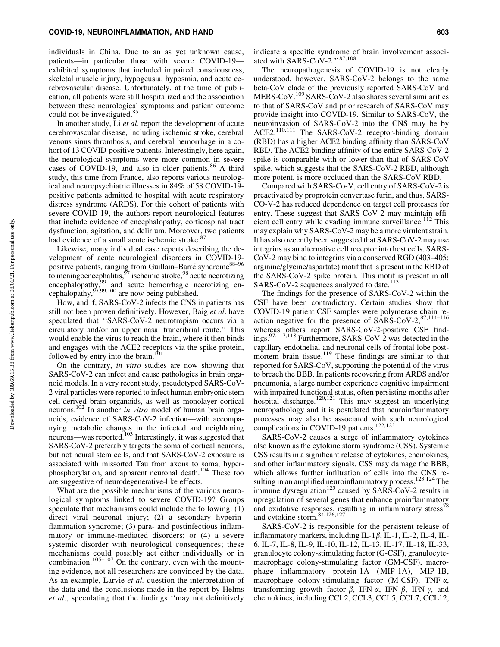individuals in China. Due to an as yet unknown cause, patients—in particular those with severe COVID-19 exhibited symptoms that included impaired consciousness, skeletal muscle injury, hypogeusia, hyposmia, and acute cerebrovascular disease. Unfortunately, at the time of publication, all patients were still hospitalized and the association between these neurological symptoms and patient outcome could not be investigated.<sup>85</sup>

In another study, Li *et al*. report the development of acute cerebrovascular disease, including ischemic stroke, cerebral venous sinus thrombosis, and cerebral hemorrhage in a cohort of 13 COVID-positive patients. Interestingly, here again, the neurological symptoms were more common in severe cases of COVID-19, and also in older patients.<sup>86</sup> A third study, this time from France, also reports various neurological and neuropsychiatric illnesses in 84% of 58 COVID-19 positive patients admitted to hospital with acute respiratory distress syndrome (ARDS). For this cohort of patients with severe COVID-19, the authors report neurological features that include evidence of encephalopathy, corticospinal tract dysfunction, agitation, and delirium. Moreover, two patients had evidence of a small acute ischemic stroke.<sup>87</sup>

Likewise, many individual case reports describing the development of acute neurological disorders in COVID-19 positive patients, ranging from Guillain–Barré syndrome<sup>88–96</sup> to meningoencephalitis, $\frac{97}{7}$  ischemic stroke, $\frac{98}{7}$  acute necrotizing encephalopathy,<sup>99</sup> and acute hemorrhagic necrotizing encephalopathy,  $97,99,100$  are now being published.

How, and if, SARS-CoV-2 infects the CNS in patients has still not been proven definitively. However, Baig *et al*. have speculated that ''SARS-CoV-2 neurotropism occurs via a circulatory and/or an upper nasal trancribrial route.'' This would enable the virus to reach the brain, where it then binds and engages with the ACE2 receptors via the spike protein, followed by entry into the brain. $101$ 

On the contrary, *in vitro* studies are now showing that SARS-CoV-2 can infect and cause pathologies in brain organoid models. In a very recent study, pseudotyped SARS-CoV-2 viral particles were reported to infect human embryonic stem cell-derived brain organoids, as well as monolayer cortical neurons.102 In another *in vitro* model of human brain organoids, evidence of SARS-CoV-2 infection—with accompanying metabolic changes in the infected and neighboring neurons—was reported.<sup>103</sup> Interestingly, it was suggested that SARS-CoV-2 preferably targets the soma of cortical neurons, but not neural stem cells, and that SARS-CoV-2 exposure is associated with missorted Tau from axons to soma, hyperphosphorylation, and apparent neuronal death.104 These too are suggestive of neurodegenerative-like effects.

What are the possible mechanisms of the various neurological symptoms linked to severe COVID-19? Groups speculate that mechanisms could include the following: (1) direct viral neuronal injury; (2) a secondary hyperinflammation syndrome; (3) para- and postinfectious inflammatory or immune-mediated disorders; or (4) a severe systemic disorder with neurological consequences; these mechanisms could possibly act either individually or in combination.<sup>105–107</sup> On the contrary, even with the mounting evidence, not all researchers are convinced by the data. As an example, Larvie *et al.* question the interpretation of the data and the conclusions made in the report by Helms *et al*., speculating that the findings ''may not definitively

indicate a specific syndrome of brain involvement associated with SARS-CoV-2."<sup>87,108</sup>

The neuropathogenesis of COVID-19 is not clearly understood, however, SARS-CoV-2 belongs to the same beta-CoV clade of the previously reported SARS-CoV and MERS-CoV.<sup>109</sup> SARS-CoV-2 also shares several similarities to that of SARS-CoV and prior research of SARS-CoV may provide insight into COVID-19. Similar to SARS-CoV, the neuroinvasion of SARS-CoV-2 into the CNS may be by ACE2.110,111 The SARS-CoV-2 receptor-binding domain (RBD) has a higher ACE2 binding affinity than SARS-CoV RBD. The ACE2 binding affinity of the entire SARS-CoV-2 spike is comparable with or lower than that of SARS-CoV spike, which suggests that the SARS-CoV-2 RBD, although more potent, is more occluded than the SARS-CoV RBD.

Compared with SARS-Co-V, cell entry of SARS-CoV-2 is preactivated by proprotein convertase furin, and thus, SARS-CO-V-2 has reduced dependence on target cell proteases for entry. These suggest that SARS-CoV-2 may maintain efficient cell entry while evading immune surveillance.<sup>112</sup> This may explain why SARS-CoV-2 may be a more virulent strain. It has also recently been suggested that SARS-CoV-2 may use integrins as an alternative cell receptor into host cells. SARS-CoV-2 may bind to integrins via a conserved RGD (403–405: arginine/glycine/aspartate) motif that is present in the RBD of the SARS-CoV-2 spike protein. This motif is present in all SARS-CoV-2 sequences analyzed to date.<sup>113</sup>

The findings for the presence of SARS-CoV-2 within the CSF have been contradictory. Certain studies show that COVID-19 patient CSF samples were polymerase chain reaction negative for the presence of  $SARS-CoV-2$ ,  $87,114-116$ whereas others report SARS-CoV-2-positive CSF findings.97,117,118 Furthermore, SARS-CoV-2 was detected in the capillary endothelial and neuronal cells of frontal lobe postmortem brain tissue.<sup>119</sup> These findings are similar to that reported for SARS-CoV, supporting the potential of the virus to breach the BBB. In patients recovering from ARDS and/or pneumonia, a large number experience cognitive impairment with impaired functional status, often persisting months after hospital discharge.<sup>120,121</sup> This may suggest an underlying neuropathology and it is postulated that neuroinflammatory processes may also be associated with such neurological complications in COVID-19 patients.<sup>122,123</sup>

SARS-CoV-2 causes a surge of inflammatory cytokines also known as the cytokine storm syndrome (CSS). Systemic CSS results in a significant release of cytokines, chemokines, and other inflammatory signals. CSS may damage the BBB, which allows further infiltration of cells into the CNS resulting in an amplified neuroinflammatory process.<sup>123,124</sup> The immune dysregulation<sup>125</sup> caused by SARS-CoV-2 results in upregulation of several genes that enhance proinflammatory and oxidative responses, resulting in inflammatory stress<sup>78</sup> and cytokine storm.84,126,127

SARS-CoV-2 is responsible for the persistent release of inflammatory markers, including IL-1 $\beta$ , IL-1, IL-2, IL-4, IL-6, IL-7, IL-8, IL-9, IL-10, IL-12, IL-13, IL-17, IL-18, IL-33, granulocyte colony-stimulating factor (G-CSF), granulocytemacrophage colony-stimulating factor (GM-CSF), macrophage inflammatory protein-1A (MIP-1A), MIP-1B, macrophage colony-stimulating factor (M-CSF), TNF-a, transforming growth factor- $\beta$ , IFN- $\alpha$ , IFN- $\beta$ , IFN- $\gamma$ , and chemokines, including CCL2, CCL3, CCL5, CCL7, CCL12,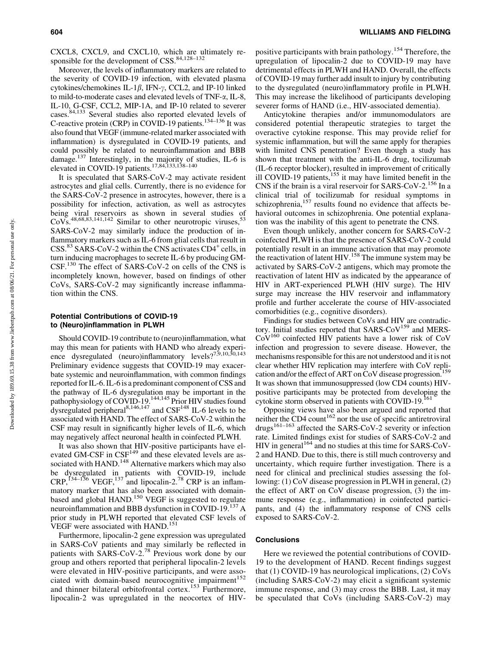CXCL8, CXCL9, and CXCL10, which are ultimately responsible for the development of  $CSS$ .  $84,128-132$ 

Moreover, the levels of inflammatory markers are related to the severity of COVID-19 infection, with elevated plasma cytokines/chemokines IL-1 $\beta$ , IFN- $\gamma$ , CCL2, and IP-10 linked to mild-to-moderate cases and elevated levels of TNF-a, IL-8, IL-10, G-CSF, CCL2, MIP-1A, and IP-10 related to severer cases.84,133 Several studies also reported elevated levels of C-reactive protein (CRP) in COVID-19 patients.<sup>134–136</sup> It was also found that VEGF (immune-related marker associated with inflammation) is dysregulated in COVID-19 patients, and could possibly be related to neuroinflammation and BBB damage.<sup>137</sup> Interestingly, in the majority of studies, IL-6 is elevated in COVID-19 patients.<sup>17,84,133,138–140</sup>

It is speculated that SARS-CoV-2 may activate resident astrocytes and glial cells. Currently, there is no evidence for the SARS-CoV-2 presence in astrocytes, however, there is a possibility for infection, activation, as well as astrocytes being viral reservoirs as shown in several studies of  $\text{CoVs}^{48,68,83,141,142}$  Similar to other neurotropic viruses,  $53$ SARS-CoV-2 may similarly induce the production of inflammatory markers such as IL-6 from glial cells that result in  $CSS<sup>83</sup> SARS-CoV-2$  within the CNS activates  $CD4<sup>+</sup>$  cells, in turn inducing macrophages to secrete IL-6 by producing GM-CSF.<sup>130</sup> The effect of SARS-CoV-2 on cells of the CNS is incompletely known, however, based on findings of other CoVs, SARS-CoV-2 may significantly increase inflammation within the CNS.

# Potential Contributions of COVID-19 to (Neuro)inflammation in PLWH

Should COVID-19 contribute to (neuro)inflammation, what may this mean for patients with HAND who already experience dysregulated (neuro)inflammatory levels?<sup>7,9,10,30,143</sup> Preliminary evidence suggests that COVID-19 may exacerbate systemic and neuroinflammation, with common findings reported for IL-6. IL-6 is a predominant component of CSS and the pathway of IL-6 dysregulation may be important in the pathophysiology of COVID-19.<sup>144,145</sup> Prior HIV studies found dysregulated peripheral<sup>8,146,147</sup> and  $CSF<sup>148</sup>$  IL-6 levels to be associated with HAND. The effect of SARS-CoV-2 within the CSF may result in significantly higher levels of IL-6, which may negatively affect neuronal health in coinfected PLWH.

It was also shown that HIV-positive participants have elevated GM-CSF in  $CSF<sup>149</sup>$  and these elevated levels are associated with HAND.<sup>148</sup> Alternative markers which may also be dysregulated in patients with COVID-19, include  $CRP,$ <sup>134–136</sup> VEGF,<sup>137</sup> and lipocalin-2.<sup>78</sup> CRP is an inflammatory marker that has also been associated with domainbased and global HAND.<sup>150</sup> VEGF is suggested to regulate neuroinflammation and BBB dysfunction in COVID-19.<sup>137</sup> A prior study in PLWH reported that elevated CSF levels of VEGF were associated with HAND.<sup>151</sup>

Furthermore, lipocalin-2 gene expression was upregulated in SARS-CoV patients and may similarly be reflected in patients with SARS-CoV-2.<sup>78</sup> Previous work done by our group and others reported that peripheral lipocalin-2 levels were elevated in HIV-positive participants, and were associated with domain-based neurocognitive impairment<sup>152</sup> and thinner bilateral orbitofrontal cortex.<sup>153</sup> Furthermore, lipocalin-2 was upregulated in the neocortex of HIV- positive participants with brain pathology.<sup>154</sup> Therefore, the upregulation of lipocalin-2 due to COVID-19 may have detrimental effects in PLWH and HAND. Overall, the effects of COVID-19 may further add insult to injury by contributing to the dysregulated (neuro)inflammatory profile in PLWH. This may increase the likelihood of participants developing severer forms of HAND (i.e., HIV-associated dementia).

Anticytokine therapies and/or immunomodulators are considered potential therapeutic strategies to target the overactive cytokine response. This may provide relief for systemic inflammation, but will the same apply for therapies with limited CNS penetration? Even though a study has shown that treatment with the anti-IL-6 drug, tocilizumab (IL-6 receptor blocker), resulted in improvement of critically ill COVID-19 patients, $155$  it may have limited benefit in the CNS if the brain is a viral reservoir for SARS-CoV-2.<sup>156</sup> In a clinical trial of tocilizumab for residual symptoms in schizophrenia,<sup>157</sup> results found no evidence that affects behavioral outcomes in schizophrenia. One potential explanation was the inability of this agent to penetrate the CNS.

Even though unlikely, another concern for SARS-CoV-2 coinfected PLWH is that the presence of SARS-CoV-2 could potentially result in an immune activation that may promote the reactivation of latent HIV.<sup>158</sup> The immune system may be activated by SARS-CoV-2 antigens, which may promote the reactivation of latent HIV as indicated by the appearance of HIV in ART-experienced PLWH (HIV surge). The HIV surge may increase the HIV reservoir and inflammatory profile and further accelerate the course of HIV-associated comorbidities (e.g., cognitive disorders).

Findings for studies between CoVs and HIV are contradictory. Initial studies reported that SARS-CoV<sup>159</sup> and MERS-CoV160 coinfected HIV patients have a lower risk of CoV infection and progression to severe disease. However, the mechanisms responsible for this are not understood and it is not clear whether HIV replication may interfere with CoV replication and/or the effect of ART on CoV disease progression.<sup>159</sup> It was shown that immunosuppressed (low CD4 counts) HIVpositive participants may be protected from developing the cytokine storm observed in patients with COVID-19.<sup>161</sup>

Opposing views have also been argued and reported that neither the  $CD4$  count<sup>162</sup> nor the use of specific antiretroviral  $drugs^{161-163}$  affected the SARS-CoV-2 severity or infection rate. Limited findings exist for studies of SARS-CoV-2 and HIV in general<sup>164</sup> and no studies at this time for SARS-CoV-2 and HAND. Due to this, there is still much controversy and uncertainty, which require further investigation. There is a need for clinical and preclinical studies assessing the following: (1) CoV disease progression in PLWH in general, (2) the effect of ART on CoV disease progression, (3) the immune response (e.g., inflammation) in coinfected participants, and (4) the inflammatory response of CNS cells exposed to SARS-CoV-2.

#### **Conclusions**

Here we reviewed the potential contributions of COVID-19 to the development of HAND. Recent findings suggest that (1) COVID-19 has neurological implications, (2) CoVs (including SARS-CoV-2) may elicit a significant systemic immune response, and (3) may cross the BBB. Last, it may be speculated that CoVs (including SARS-CoV-2) may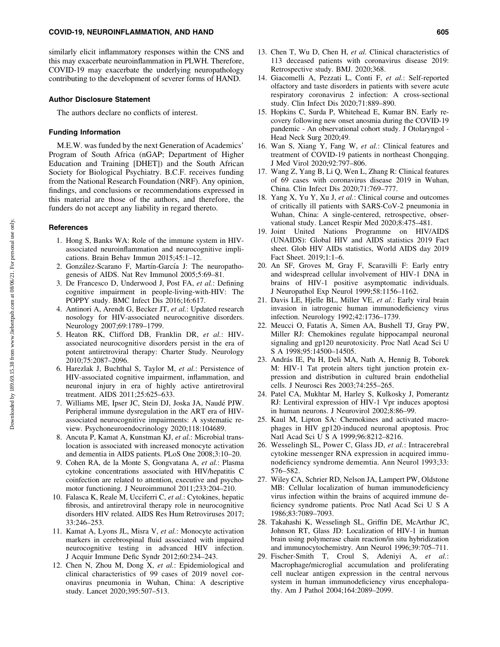similarly elicit inflammatory responses within the CNS and this may exacerbate neuroinflammation in PLWH. Therefore, COVID-19 may exacerbate the underlying neuropathology contributing to the development of severer forms of HAND.

## Author Disclosure Statement

The authors declare no conflicts of interest.

## Funding Information

M.E.W. was funded by the next Generation of Academics' Program of South Africa (nGAP; Department of Higher Education and Training [DHET]) and the South African Society for Biological Psychiatry. B.C.F. receives funding from the National Research Foundation (NRF). Any opinion, findings, and conclusions or recommendations expressed in this material are those of the authors, and therefore, the funders do not accept any liability in regard thereto.

### **References**

- 1. Hong S, Banks WA: Role of the immune system in HIVassociated neuroinflammation and neurocognitive implications. Brain Behav Immun 2015;45:1–12.
- 2. González-Scarano F, Martín-García J: The neuropathogenesis of AIDS. Nat Rev Immunol 2005;5:69–81.
- 3. De Francesco D, Underwood J, Post FA, *et al.*: Defining cognitive impairment in people-living-with-HIV: The POPPY study. BMC Infect Dis 2016;16:617.
- 4. Antinori A, Arendt G, Becker JT, *et al.*: Updated research nosology for HIV-associated neurocognitive disorders. Neurology 2007;69:1789–1799.
- 5. Heaton RK, Clifford DB, Franklin DR, *et al.*: HIVassociated neurocognitive disorders persist in the era of potent antiretroviral therapy: Charter Study. Neurology 2010;75:2087–2096.
- 6. Harezlak J, Buchthal S, Taylor M, *et al.*: Persistence of HIV-associated cognitive impairment, inflammation, and neuronal injury in era of highly active antiretroviral treatment. AIDS 2011;25:625–633.
- 7. Williams ME, Ipser JC, Stein DJ, Joska JA, Naude´ PJW. Peripheral immune dysregulation in the ART era of HIVassociated neurocognitive impairments: A systematic review. Psychoneuroendocrinology 2020;118:104689.
- 8. Ancuta P, Kamat A, Kunstman KJ, *et al.*: Microbial translocation is associated with increased monocyte activation and dementia in AIDS patients. PLoS One 2008;3:10–20.
- 9. Cohen RA, de la Monte S, Gongvatana A, *et al.*: Plasma cytokine concentrations associated with HIV/hepatitis C coinfection are related to attention, executive and psychomotor functioning. J Neuroimmunol 2011;233:204–210.
- 10. Falasca K, Reale M, Ucciferri C, *et al.*: Cytokines, hepatic fibrosis, and antiretroviral therapy role in neurocognitive disorders HIV related. AIDS Res Hum Retroviruses 2017; 33:246–253.
- 11. Kamat A, Lyons JL, Misra V, *et al.*: Monocyte activation markers in cerebrospinal fluid associated with impaired neurocognitive testing in advanced HIV infection. J Acquir Immune Defic Syndr 2012;60:234–243.
- 12. Chen N, Zhou M, Dong X, *et al.*: Epidemiological and clinical characteristics of 99 cases of 2019 novel coronavirus pneumonia in Wuhan, China: A descriptive study. Lancet 2020;395:507–513.
- 13. Chen T, Wu D, Chen H, *et al.* Clinical characteristics of 113 deceased patients with coronavirus disease 2019: Retrospective study. BMJ. 2020;368.
- 14. Giacomelli A, Pezzati L, Conti F, *et al.*: Self-reported olfactory and taste disorders in patients with severe acute respiratory coronavirus 2 infection: A cross-sectional study. Clin Infect Dis 2020;71:889–890.
- 15. Hopkins C, Surda P, Whitehead E, Kumar BN. Early recovery following new onset anosmia during the COVID-19 pandemic - An observational cohort study. J Otolaryngol - Head Neck Surg 2020;49.
- 16. Wan S, Xiang Y, Fang W, *et al.*: Clinical features and treatment of COVID-19 patients in northeast Chongqing. J Med Virol 2020;92:797–806.
- 17. Wang Z, Yang B, Li Q, Wen L, Zhang R: Clinical features of 69 cases with coronavirus disease 2019 in Wuhan, China. Clin Infect Dis 2020;71:769–777.
- 18. Yang X, Yu Y, Xu J, *et al.*: Clinical course and outcomes of critically ill patients with SARS-CoV-2 pneumonia in Wuhan, China: A single-centered, retrospective, observational study. Lancet Respir Med 2020;8:475–481.
- 19. Joint United Nations Programme on HIV/AIDS (UNAIDS): Global HIV and AIDS statistics 2019 Fact sheet. Glob HIV AIDs statistics, World AIDS day 2019 Fact Sheet. 2019;1:1–6.
- 20. An SF, Groves M, Gray F, Scaravilli F: Early entry and widespread cellular involvement of HIV-1 DNA in brains of HIV-1 positive asymptomatic individuals. J Neuropathol Exp Neurol 1999;58:1156–1162.
- 21. Davis LE, Hjelle BL, Miller VE, *et al.*: Early viral brain invasion in iatrogenic human immunodeficiency virus infection. Neurology 1992;42:1736–1739.
- 22. Meucci O, Fatatis A, Simen AA, Bushell TJ, Gray PW, Miller RJ: Chemokines regulate hippocampal neuronal signaling and gp120 neurotoxicity. Proc Natl Acad Sci U S A 1998;95:14500–14505.
- 23. András IE, Pu H, Deli MA, Nath A, Hennig B, Toborek M: HIV-1 Tat protein alters tight junction protein expression and distribution in cultured brain endothelial cells. J Neurosci Res 2003;74:255–265.
- 24. Patel CA, Mukhtar M, Harley S, Kulkosky J, Pomerantz RJ: Lentiviral expression of HIV-1 Vpr induces apoptosi in human neurons. J Neurovirol 2002;8:86–99.
- 25. Kaul M, Lipton SA: Chemokines and activated macrophages in HIV gp120-induced neuronal apoptosis. Proc Natl Acad Sci U S A 1999;96:8212–8216.
- 26. Wesselingh SL, Power C, Glass JD, *et al.*: Intracerebral cytokine messenger RNA expression in acquired immunodeficiency syndrome dememtia. Ann Neurol 1993;33: 576–582.
- 27. Wiley CA, Schrier RD, Nelson JA, Lampert PW, Oldstone MB: Cellular localization of human immunodeficiency virus infection within the brains of acquired immune deficiency syndrome patients. Proc Natl Acad Sci U S A 1986;83:7089–7093.
- 28. Takahashi K, Wesselingh SL, Griffin DE, McArthur JC, Johnson RT, Glass JD: Localization of HIV-1 in human brain using polymerase chain reaction/in situ hybridization and immunocytochemistry. Ann Neurol 1996;39:705–711.
- 29. Fischer-Smith T, Croul S, Adeniyi A, *et al.*: Macrophage/microglial accumulation and proliferating cell nuclear antigen expression in the central nervous system in human immunodeficiency virus encephalopathy. Am J Pathol 2004;164:2089–2099.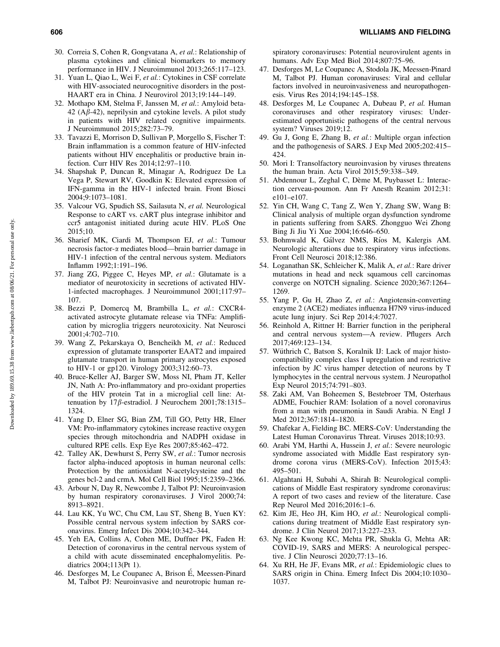- 30. Correia S, Cohen R, Gongvatana A, *et al.*: Relationship of plasma cytokines and clinical biomarkers to memory performance in HIV. J Neuroimmunol 2013;265:117–123.
- 31. Yuan L, Qiao L, Wei F, *et al.*: Cytokines in CSF correlate with HIV-associated neurocognitive disorders in the post-HAART era in China. J Neurovirol 2013;19:144–149.
- 32. Mothapo KM, Stelma F, Janssen M, *et al.*: Amyloid beta- $42$  (A $\beta$ -42), neprilysin and cytokine levels. A pilot study in patients with HIV related cognitive impairments. J Neuroimmunol 2015;282:73–79.
- 33. Tavazzi E, Morrison D, Sullivan P, Morgello S, Fischer T: Brain inflammation is a common feature of HIV-infected patients without HIV encephalitis or productive brain infection. Curr HIV Res 2014;12:97–110.
- 34. Shapshak P, Duncan R, Minagar A, Rodriguez De La Vega P, Stewart RV, Goodkin K: Elevated expression of IFN-gamma in the HIV-1 infected brain. Front Biosci 2004;9:1073–1081.
- 35. Valcour VG, Spudich SS, Sailasuta N, *et al.* Neurological Response to cART vs. cART plus integrase inhibitor and ccr5 antagonist initiated during acute HIV. PLoS One 2015;10.
- 36. Sharief MK, Ciardi M, Thompson EJ, *et al.*: Tumour necrosis factor-a mediates blood—brain barrier damage in HIV-1 infection of the central nervous system. Mediators Inflamm 1992;1:191–196.
- 37. Jiang ZG, Piggee C, Heyes MP, *et al.*: Glutamate is a mediator of neurotoxicity in secretions of activated HIV-1-infected macrophages. J Neuroimmunol 2001;117:97– 107.
- 38. Bezzi P, Domercq M, Brambilla L, *et al.*: CXCR4 activated astrocyte glutamate release via TNFa: Amplification by microglia triggers neurotoxicity. Nat Neurosci 2001;4:702–710.
- 39. Wang Z, Pekarskaya O, Bencheikh M, *et al.*: Reduced expression of glutamate transporter EAAT2 and impaired glutamate transport in human primary astrocytes exposed to HIV-1 or gp120. Virology 2003;312:60–73.
- 40. Bruce-Keller AJ, Barger SW, Moss NI, Pham JT, Keller JN, Nath A: Pro-inflammatory and pro-oxidant properties of the HIV protein Tat in a microglial cell line: Attenuation by 17 $\beta$ -estradiol. J Neurochem 2001;78:1315– 1324.
- 41. Yang D, Elner SG, Bian ZM, Till GO, Petty HR, Elner VM: Pro-inflammatory cytokines increase reactive oxygen species through mitochondria and NADPH oxidase in cultured RPE cells. Exp Eye Res 2007;85:462–472.
- 42. Talley AK, Dewhurst S, Perry SW, *et al.*: Tumor necrosis factor alpha-induced apoptosis in human neuronal cells: Protection by the antioxidant N-acetylcysteine and the genes bcl-2 and crmA. Mol Cell Biol 1995;15:2359–2366.
- 43. Arbour N, Day R, Newcombe J, Talbot PJ: Neuroinvasion by human respiratory coronaviruses. J Virol 2000;74: 8913–8921.
- 44. Lau KK, Yu WC, Chu CM, Lau ST, Sheng B, Yuen KY: Possible central nervous system infection by SARS coronavirus. Emerg Infect Dis 2004;10:342–344.
- 45. Yeh EA, Collins A, Cohen ME, Duffner PK, Faden H: Detection of coronavirus in the central nervous system of a child with acute disseminated encephalomyelitis. Pediatrics 2004;113(Pt 1).
- 46. Desforges M, Le Coupanec A, Brison É, Meessen-Pinard M, Talbot PJ: Neuroinvasive and neurotropic human re-

spiratory coronaviruses: Potential neurovirulent agents in humans. Adv Exp Med Biol 2014;807:75–96.

- 47. Desforges M, Le Coupanec A, Stodola JK, Meessen-Pinard M, Talbot PJ. Human coronaviruses: Viral and cellular factors involved in neuroinvasiveness and neuropathogenesis. Virus Res 2014;194:145–158.
- 48. Desforges M, Le Coupanec A, Dubeau P, *et al.* Human coronaviruses and other respiratory viruses: Underestimated opportunistic pathogens of the central nervous system? Viruses 2019;12.
- 49. Gu J, Gong E, Zhang B, *et al.*: Multiple organ infection and the pathogenesis of SARS. J Exp Med 2005;202:415– 424.
- 50. Mori I: Transolfactory neuroinvasion by viruses threatens the human brain. Acta Virol 2015;59:338–349.
- 51. Abdennour L, Zeghal C, Dème M, Puybasset L: Interaction cerveau-poumon. Ann Fr Anesth Reanim 2012;31: e101–e107.
- 52. Yin CH, Wang C, Tang Z, Wen Y, Zhang SW, Wang B: Clinical analysis of multiple organ dysfunction syndrome in patients suffering from SARS. Zhongguo Wei Zhong Bing Ji Jiu Yi Xue 2004;16:646–650.
- 53. Bohmwald K, Gálvez NMS, Ríos M, Kalergis AM. Neurologic alterations due to respiratory virus infections. Front Cell Neurosci 2018;12:386.
- 54. Loganathan SK, Schleicher K, Malik A, *et al.*: Rare driver mutations in head and neck squamous cell carcinomas converge on NOTCH signaling. Science 2020;367:1264– 1269.
- 55. Yang P, Gu H, Zhao Z, *et al.*: Angiotensin-converting enzyme 2 (ACE2) mediates influenza H7N9 virus-induced acute lung injury. Sci Rep 2014;4:7027.
- 56. Reinhold A, Rittner H: Barrier function in the peripheral and central nervous system—A review. Pflugers Arch 2017;469:123–134.
- 57. Wüthrich C, Batson S, Koralnik IJ: Lack of major histocompatibility complex class I upregulation and restrictive infection by JC virus hamper detection of neurons by T lymphocytes in the central nervous system. J Neuropathol Exp Neurol 2015;74:791–803.
- 58. Zaki AM, Van Boheemen S, Bestebroer TM, Osterhaus ADME, Fouchier RAM: Isolation of a novel coronavirus from a man with pneumonia in Saudi Arabia. N Engl J Med 2012;367:1814–1820.
- 59. Chafekar A, Fielding BC. MERS-CoV: Understanding the Latest Human Coronavirus Threat. Viruses 2018;10:93.
- 60. Arabi YM, Harthi A, Hussein J, *et al.*: Severe neurologic syndrome associated with Middle East respiratory syndrome corona virus (MERS-CoV). Infection 2015;43: 495–501.
- 61. Algahtani H, Subahi A, Shirah B: Neurological complications of Middle East respiratory syndrome coronavirus: A report of two cases and review of the literature. Case Rep Neurol Med 2016;2016:1–6.
- 62. Kim JE, Heo JH, Kim HO, *et al.*: Neurological complications during treatment of Middle East respiratory syndrome. J Clin Neurol 2017;13:227–233.
- 63. Ng Kee Kwong KC, Mehta PR, Shukla G, Mehta AR: COVID-19, SARS and MERS: A neurological perspective. J Clin Neurosci 2020;77:13–16.
- 64. Xu RH, He JF, Evans MR, *et al.*: Epidemiologic clues to SARS origin in China. Emerg Infect Dis 2004;10:1030– 1037.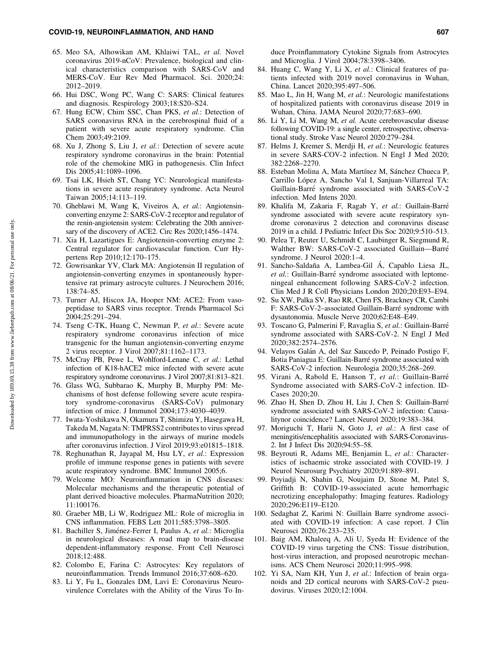- 65. Meo SA, Alhowikan AM, Khlaiwi TAL, *et al.* Novel coronavirus 2019-nCoV: Prevalence, biological and clinical characteristics comparison with SARS-CoV and MERS-CoV. Eur Rev Med Pharmacol. Sci. 2020;24: 2012–2019.
- 66. Hui DSC, Wong PC, Wang C: SARS: Clinical features and diagnosis. Respirology 2003;18:S20–S24.
- 67. Hung ECW, Chim SSC, Chan PKS, *et al.*: Detection of SARS coronavirus RNA in the cerebrospinal fluid of a patient with severe acute respiratory syndrome. Clin Chem 2003;49:2109.
- 68. Xu J, Zhong S, Liu J, *et al.*: Detection of severe acute respiratory syndrome coronavirus in the brain: Potential role of the chemokine MIG in pathogenesis. Clin Infect Dis 2005;41:1089–1096.
- 69. Tsai LK, Hsieh ST, Chang YC: Neurological manifestations in severe acute respiratory syndrome. Acta Neurol Taiwan 2005;14:113–119.
- 70. Gheblawi M, Wang K, Viveiros A, *et al.*: Angiotensinconverting enzyme 2: SARS-CoV-2 receptor and regulator of the renin-angiotensin system: Celebrating the 20th anniversary of the discovery of ACE2. Circ Res 2020;1456–1474.
- 71. Xia H, Lazartigues E: Angiotensin-converting enzyme 2: Central regulator for cardiovascular function. Curr Hypertens Rep 2010;12:170–175.
- 72. Gowrisankar YV, Clark MA: Angiotensin II regulation of angiotensin-converting enzymes in spontaneously hypertensive rat primary astrocyte cultures. J Neurochem 2016; 138:74–85.
- 73. Turner AJ, Hiscox JA, Hooper NM: ACE2: From vasopeptidase to SARS virus receptor. Trends Pharmacol Sci 2004;25:291–294.
- 74. Tseng C-TK, Huang C, Newman P, *et al.*: Severe acute respiratory syndrome coronavirus infection of mice transgenic for the human angiotensin-converting enzyme 2 virus receptor. J Virol 2007;81:1162–1173.
- 75. McCray PB, Pewe L, Wohlford-Lenane C, *et al.*: Lethal infection of K18-hACE2 mice infected with severe acute respiratory syndrome coronavirus. J Virol 2007;81:813–821.
- 76. Glass WG, Subbarao K, Murphy B, Murphy PM: Mechanisms of host defense following severe acute respiratory syndrome-coronavirus (SARS-CoV) pulmonary infection of mice. J Immunol 2004;173:4030–4039.
- 77. Iwata-Yoshikawa N, Okamura T, Shimizu Y, Hasegawa H, Takeda M, Nagata N: TMPRSS2 contributes to virus spread and immunopathology in the airways of murine models after coronavirus infection. J Virol 2019;93:e01815–1818.
- 78. Reghunathan R, Jayapal M, Hsu LY, *et al.*: Expression profile of immune response genes in patients with severe acute respiratory syndrome. BMC Immunol 2005;6.
- 79. Welcome MO: Neuroinflammation in CNS diseases: Molecular mechanisms and the therapeutic potential of plant derived bioactive molecules. PharmaNutrition 2020; 11:100176.
- 80. Graeber MB, Li W, Rodriguez ML: Role of microglia in CNS inflammation. FEBS Lett 2011;585:3798–3805.
- 81. Bachiller S, Jiménez-Ferrer I, Paulus A, et al.: Microglia in neurological diseases: A road map to brain-disease dependent-inflammatory response. Front Cell Neurosci 2018;12:488.
- 82. Colombo E, Farina C: Astrocytes: Key regulators of neuroinflammation. Trends Immunol 2016;37:608–620.
- 83. Li Y, Fu L, Gonzales DM, Lavi E: Coronavirus Neurovirulence Correlates with the Ability of the Virus To In-

duce Proinflammatory Cytokine Signals from Astrocytes and Microglia. J Virol 2004;78:3398–3406.

- 84. Huang C, Wang Y, Li X, *et al.*: Clinical features of patients infected with 2019 novel coronavirus in Wuhan, China. Lancet 2020;395:497–506.
- 85. Mao L, Jin H, Wang M, *et al.*: Neurologic manifestations of hospitalized patients with coronavirus disease 2019 in Wuhan, China. JAMA Neurol 2020;77:683–690.
- 86. Li Y, Li M, Wang M, *et al.* Acute cerebrovascular disease following COVID-19: a single center, retrospective, observational study. Stroke Vasc Neurol 2020:279–284.
- 87. Helms J, Kremer S, Merdji H, *et al.*: Neurologic features in severe SARS-COV-2 infection. N Engl J Med 2020; 382:2268–2270.
- 88. Esteban Molina A, Mata Martínez M, Sánchez Chueca P, Carrillo López A, Sancho Val I, Sanjuan-Villarreal TA: Guillain-Barre´ syndrome associated with SARS-CoV-2 infection. Med Intens 2020.
- 89. Khalifa M, Zakaria F, Ragab Y, *et al.*: Guillain-Barre´ syndrome associated with severe acute respiratory syndrome coronavirus 2 detection and coronavirus disease 2019 in a child. J Pediatric Infect Dis Soc 2020;9:510–513.
- 90. Pelea T, Reuter U, Schmidt C, Laubinger R, Siegmund R, Walther BW: SARS-CoV-2 associated Guillain—Barre´ syndrome. J Neurol 2020:1–4.
- 91. Sancho-Saldaña A, Lambea-Gil Á, Capablo Liesa JL, et al.: Guillain-Barré syndrome associated with leptomeningeal enhancement following SARS-CoV-2 infection. Clin Med J R Coll Physicians London 2020;20:E93–E94.
- 92. Su XW, Palka SV, Rao RR, Chen FS, Brackney CR, Cambi F: SARS-CoV-2-associated Guillain-Barré syndrome with dysautonomia. Muscle Nerve 2020;62:E48–E49.
- 93. Toscano G, Palmerini F, Ravaglia S, *et al.*: Guillain-Barre´ syndrome associated with SARS-CoV-2. N Engl J Med 2020;382:2574–2576.
- 94. Velayos Galán A, del Saz Saucedo P, Peinado Postigo F, Botia Paniagua E: Guillain-Barré syndrome associated with SARS-CoV-2 infection. Neurologia 2020;35:268–269.
- 95. Virani A, Rabold E, Hanson T, et al.: Guillain-Barré Syndrome associated with SARS-CoV-2 infection. ID-Cases 2020;20.
- 96. Zhao H, Shen D, Zhou H, Liu J, Chen S: Guillain-Barre´ syndrome associated with SARS-CoV-2 infection: Causalitynor coincidence? Lancet Neurol 2020;19:383–384.
- 97. Moriguchi T, Harii N, Goto J, *et al.*: A first case of meningitis/encephalitis associated with SARS-Coronavirus-2. Int J Infect Dis 2020;94:55–58.
- 98. Beyrouti R, Adams ME, Benjamin L, *et al.*: Characteristics of ischaemic stroke associated with COVID-19. J Neurol Neurosurg Psychiatry 2020;91:889–891.
- 99. Poyiadji N, Shahin G, Noujaim D, Stone M, Patel S, Griffith B: COVID-19-associated acute hemorrhagic necrotizing encephalopathy: Imaging features. Radiology 2020;296:E119–E120.
- 100. Sedaghat Z, Karimi N: Guillain Barre syndrome associated with COVID-19 infection: A case report. J Clin Neurosci 2020;76:233–235.
- 101. Baig AM, Khaleeq A, Ali U, Syeda H: Evidence of the COVID-19 virus targeting the CNS: Tissue distribution, host-virus interaction, and proposed neurotropic mechanisms. ACS Chem Neurosci 2020;11:995–998.
- 102. Yi SA, Nam KH, Yun J, *et al.*: Infection of brain organoids and 2D cortical neurons with SARS-CoV-2 pseudovirus. Viruses 2020;12:1004.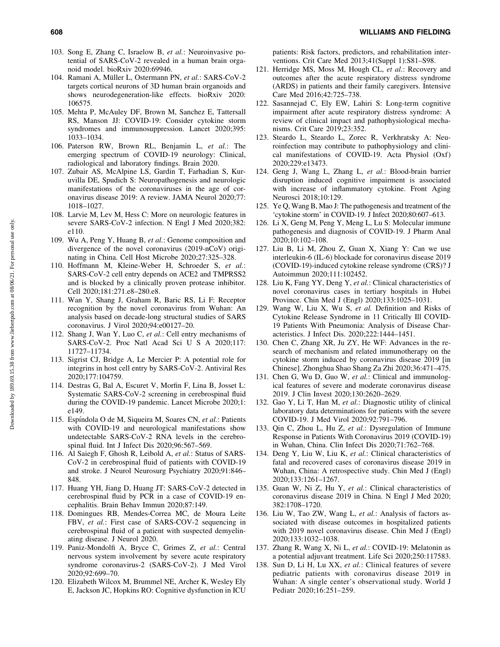- 103. Song E, Zhang C, Israelow B, *et al.*: Neuroinvasive potential of SARS-CoV-2 revealed in a human brain organoid model. bioRxiv 2020:69946.
- 104. Ramani A, Müller L, Ostermann PN, et al.: SARS-CoV-2 targets cortical neurons of 3D human brain organoids and shows neurodegeneration-like effects. bioRxiv 2020: 106575.
- 105. Mehta P, McAuley DF, Brown M, Sanchez E, Tattersall RS, Manson JJ: COVID-19: Consider cytokine storm syndromes and immunosuppression. Lancet 2020;395: 1033–1034.
- 106. Paterson RW, Brown RL, Benjamin L, *et al.*: The emerging spectrum of COVID-19 neurology: Clinical, radiological and laboratory findings. Brain 2020.
- 107. Zubair AS, McAlpine LS, Gardin T, Farhadian S, Kuruvilla DE, Spudich S: Neuropathogenesis and neurologic manifestations of the coronaviruses in the age of coronavirus disease 2019: A review. JAMA Neurol 2020;77: 1018–1027.
- 108. Larvie M, Lev M, Hess C: More on neurologic features in severe SARS-CoV-2 infection. N Engl J Med 2020;382: e110.
- 109. Wu A, Peng Y, Huang B, *et al.*: Genome composition and divergence of the novel coronavirus (2019-nCoV) originating in China. Cell Host Microbe 2020;27:325–328.
- 110. Hoffmann M, Kleine-Weber H, Schroeder S, *et al.*: SARS-CoV-2 cell entry depends on ACE2 and TMPRSS2 and is blocked by a clinically proven protease inhibitor. Cell 2020;181:271.e8–280.e8.
- 111. Wan Y, Shang J, Graham R, Baric RS, Li F: Receptor recognition by the novel coronavirus from Wuhan: An analysis based on decade-long structural studies of SARS coronavirus. J Virol 2020;94:e00127–20.
- 112. Shang J, Wan Y, Luo C, *et al.*: Cell entry mechanisms of SARS-CoV-2. Proc Natl Acad Sci U S A 2020;117: 11727–11734.
- 113. Sigrist CJ, Bridge A, Le Mercier P: A potential role for integrins in host cell entry by SARS-CoV-2. Antiviral Res 2020;177:104759.
- 114. Destras G, Bal A, Escuret V, Morfin F, Lina B, Josset L: Systematic SARS-CoV-2 screening in cerebrospinal fluid during the COVID-19 pandemic. Lancet Microbe 2020;1: e149.
- 115. Espíndola O de M, Siqueira M, Soares CN, *et al.*: Patients with COVID-19 and neurological manifestations show undetectable SARS-CoV-2 RNA levels in the cerebrospinal fluid. Int J Infect Dis 2020;96:567–569.
- 116. Al Saiegh F, Ghosh R, Leibold A, *et al.*: Status of SARS-CoV-2 in cerebrospinal fluid of patients with COVID-19 and stroke. J Neurol Neurosurg Psychiatry 2020;91:846– 848.
- 117. Huang YH, Jiang D, Huang JT: SARS-CoV-2 detected in cerebrospinal fluid by PCR in a case of COVID-19 encephalitis. Brain Behav Immun 2020;87:149.
- 118. Domingues RB, Mendes-Correa MC, de Moura Leite FBV, *et al.*: First case of SARS-COV-2 sequencing in cerebrospinal fluid of a patient with suspected demyelinating disease. J Neurol 2020.
- 119. Paniz-Mondolfi A, Bryce C, Grimes Z, *et al.*: Central nervous system involvement by severe acute respiratory syndrome coronavirus-2 (SARS-CoV-2). J Med Virol 2020;92:699–70.
- 120. Elizabeth Wilcox M, Brummel NE, Archer K, Wesley Ely E, Jackson JC, Hopkins RO: Cognitive dysfunction in ICU

patients: Risk factors, predictors, and rehabilitation interventions. Crit Care Med 2013;41(Suppl 1):S81–S98.

- 121. Herridge MS, Moss M, Hough CL, *et al.*: Recovery and outcomes after the acute respiratory distress syndrome (ARDS) in patients and their family caregivers. Intensive Care Med 2016;42:725–738.
- 122. Sasannejad C, Ely EW, Lahiri S: Long-term cognitive impairment after acute respiratory distress syndrome: A review of clinical impact and pathophysiological mechanisms. Crit Care 2019;23:352.
- 123. Steardo L, Steardo L, Zorec R, Verkhratsky A: Neuroinfection may contribute to pathophysiology and clinical manifestations of COVID-19. Acta Physiol (Oxf) 2020;229:e13473.
- 124. Geng J, Wang L, Zhang L, *et al.*: Blood-brain barrier disruption induced cognitive impairment is associated with increase of inflammatory cytokine. Front Aging Neurosci 2018;10:129.
- 125. Ye Q, Wang B, Mao J: The pathogenesis and treatment of the 'cytokine storm' in COVID-19. J Infect 2020;80:607–613.
- 126. Li X, Geng M, Peng Y, Meng L, Lu S: Molecular immune pathogenesis and diagnosis of COVID-19. J Pharm Anal 2020;10:102–108.
- 127. Liu B, Li M, Zhou Z, Guan X, Xiang Y: Can we use interleukin-6 (IL-6) blockade for coronavirus disease 2019 (COVID-19)-induced cytokine release syndrome (CRS)? J Autoimmun 2020;111:102452.
- 128. Liu K, Fang YY, Deng Y, *et al.*: Clinical characteristics of novel coronavirus cases in tertiary hospitals in Hubei Province. Chin Med J (Engl) 2020;133:1025–1031.
- 129. Wang W, Liu X, Wu S, *et al.* Definition and Risks of Cytokine Release Syndrome in 11 Critically Ill COVID-19 Patients With Pneumonia: Analysis of Disease Characteristics. J Infect Dis. 2020;222:1444–1451.
- 130. Chen C, Zhang XR, Ju ZY, He WF: Advances in the research of mechanism and related immunotherapy on the cytokine storm induced by coronavirus disease 2019 [in Chinese]. Zhonghua Shao Shang Za Zhi 2020;36:471–475.
- 131. Chen G, Wu D, Guo W, *et al.*: Clinical and immunological features of severe and moderate coronavirus disease 2019. J Clin Invest 2020;130:2620–2629.
- 132. Gao Y, Li T, Han M, *et al.*: Diagnostic utility of clinical laboratory data determinations for patients with the severe COVID-19. J Med Virol 2020;92:791–796.
- 133. Qin C, Zhou L, Hu Z, *et al.*: Dysregulation of Immune Response in Patients With Coronavirus 2019 (COVID-19) in Wuhan, China. Clin Infect Dis 2020;71:762–768.
- 134. Deng Y, Liu W, Liu K, *et al.*: Clinical characteristics of fatal and recovered cases of coronavirus disease 2019 in Wuhan, China: A retrospective study. Chin Med J (Engl) 2020;133:1261–1267.
- 135. Guan W, Ni Z, Hu Y, *et al.*: Clinical characteristics of coronavirus disease 2019 in China. N Engl J Med 2020; 382:1708–1720.
- 136. Liu W, Tao ZW, Wang L, *et al.*: Analysis of factors associated with disease outcomes in hospitalized patients with 2019 novel coronavirus disease. Chin Med J (Engl) 2020;133:1032–1038.
- 137. Zhang R, Wang X, Ni L, *et al.*: COVID-19: Melatonin as a potential adjuvant treatment. Life Sci 2020;250:117583.
- 138. Sun D, Li H, Lu XX, *et al.*: Clinical features of severe pediatric patients with coronavirus disease 2019 in Wuhan: A single center's observational study. World J Pediatr 2020;16:251–259.